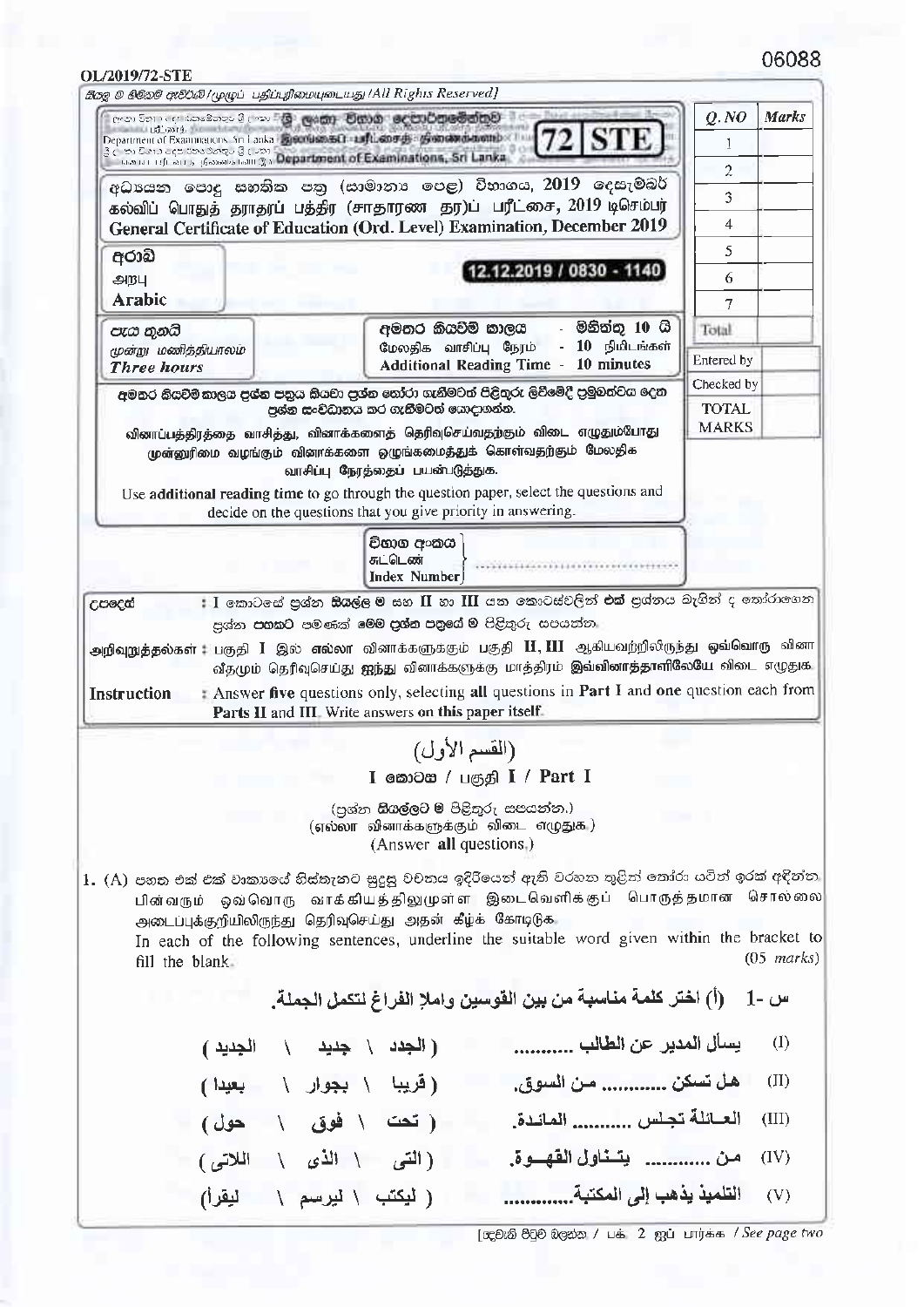## 

| OL/2019/72-STE<br>கிஜை ® லில்லி ඇசீ்\$லி /முழுப் பதிப்புரிமையுடையது /All Rights Reserved]                                                                                            |                                                                                                                                                                                                                                                                                                                                    |                            |                      |
|--------------------------------------------------------------------------------------------------------------------------------------------------------------------------------------|------------------------------------------------------------------------------------------------------------------------------------------------------------------------------------------------------------------------------------------------------------------------------------------------------------------------------------|----------------------------|----------------------|
| ලංකා විහා දෙස කෘෂිකතුව විල <b>ංකා විහු ලංකා විහාන ලෙවා රිආමේක් හුව</b>                                                                                                               |                                                                                                                                                                                                                                                                                                                                    | Q. NO                      | <b>Marks</b>         |
| station of mining the attenuate<br>Department of Examinations And anka Ejecution ED auflastor de of concentration by The<br>3 முற்கோக்களுக்கு பெண்டு பெண்ணை விடுத்துள்ளது. Sri Lanka |                                                                                                                                                                                                                                                                                                                                    |                            |                      |
|                                                                                                                                                                                      |                                                                                                                                                                                                                                                                                                                                    | 2                          |                      |
|                                                                                                                                                                                      | අධායන පොදු සහතික පතු (සාමානාෘ පෙළ) විභාගය, 2019 දෙසැම්බර්<br>கல்விப் பொதுத் தராதரப் பத்திர (சாதாரண தர)ப் பரீட்சை, 2019 டிசெம்பர்                                                                                                                                                                                                   | 3                          |                      |
|                                                                                                                                                                                      | General Certificate of Education (Ord. Level) Examination, December 2019                                                                                                                                                                                                                                                           | 4                          |                      |
| අරාබි                                                                                                                                                                                | 12.12.2019 / 0830 - 1140                                                                                                                                                                                                                                                                                                           | 5                          |                      |
| அறபு                                                                                                                                                                                 |                                                                                                                                                                                                                                                                                                                                    | 6                          |                      |
| Arabic                                                                                                                                                                               | - මිනිත්තු 10 <b>ශි</b>                                                                                                                                                                                                                                                                                                            | 7                          |                      |
| පැය තුනයි<br>மூன்று மணித்தியாலம்                                                                                                                                                     | අමතර කියවීම් කාලය<br>- 10 நிமிடங்கள்<br>மேலதிக வாசிப்பு நேரம்                                                                                                                                                                                                                                                                      | Total                      |                      |
| <b>Three hours</b>                                                                                                                                                                   | <b>Additional Reading Time - 10 minutes</b>                                                                                                                                                                                                                                                                                        | Entered by                 |                      |
|                                                                                                                                                                                      | අමතර කියවීම් කාලය පුශ්න පතුය කියවා පුශ්න තෝරා ගැනීමටත් පිළිතුරු ලිවීමේදී පුමුවත්වය දෙන<br>පුශ්න සංවිධානය කර ගැනීමටත් යොදාගන්න.                                                                                                                                                                                                     | Checked by<br><b>TOTAL</b> |                      |
|                                                                                                                                                                                      | வினாப்பத்திரத்தை வாசித்து, வினாக்களைத் தெரிவுசெய்வதற்கும் விடை எழுதும்போது                                                                                                                                                                                                                                                         | <b>MARKS</b>               |                      |
|                                                                                                                                                                                      | முன்னுரிமை வழங்கும் வினாக்களை ஒழுங்கமைத்துக் கொள்வதற்கும் மேலதிக                                                                                                                                                                                                                                                                   |                            |                      |
|                                                                                                                                                                                      | வாசிப்பு நேரத்தைப் பயன்படுத்துக.<br>Use additional reading time to go through the question paper, select the questions and                                                                                                                                                                                                         |                            |                      |
|                                                                                                                                                                                      | decide on the questions that you give priority in answering.                                                                                                                                                                                                                                                                       |                            |                      |
|                                                                                                                                                                                      | විභාග අංකය                                                                                                                                                                                                                                                                                                                         |                            |                      |
|                                                                                                                                                                                      | சுட்டெண்<br>Index Number                                                                                                                                                                                                                                                                                                           |                            |                      |
|                                                                                                                                                                                      | Parts II and III. Write answers on this paper itself.                                                                                                                                                                                                                                                                              |                            |                      |
|                                                                                                                                                                                      | (القسم الأول)                                                                                                                                                                                                                                                                                                                      |                            |                      |
|                                                                                                                                                                                      | I வையை / பகுதி I / Part I                                                                                                                                                                                                                                                                                                          |                            |                      |
|                                                                                                                                                                                      | (පුශ්න <b>සියල්ලට ම</b> පිළිතුරු සපයන්න.)<br>(எல்லா வினாக்களுக்கும் விடை எழுதுக.)<br>(Answer all questions.)                                                                                                                                                                                                                       |                            |                      |
| fill the blank.                                                                                                                                                                      | 1. (A) පහත එක් එක් වාකාගේ හිස්තැනට සුදුසු වචනය ඉදිරියෙන් ඇති වරහන තුළින් තෝරා යටින් ඉරක් අදින්න<br>பின்வரும் ஒவ்வொரு வாக்கியத்திலுமுள்ள இடைவெளிக்குப் பொருத்தமான சொல்லை<br>அடைப்புக்குறியிலிருந்து தெரிவுசெய்து அதன் கீழ்க் கோடிடுக<br>In each of the following sentences, underline the suitable word given within the bracket to |                            | $(05 \text{ marks})$ |
|                                                                                                                                                                                      | - (أ) اختر كلمة مناسبة من بين القوسين واملإ الفراغ لتكمل الجملة.                                                                                                                                                                                                                                                                   |                            | س -1                 |
| (الجدد \حديد \ الجديد )                                                                                                                                                              |                                                                                                                                                                                                                                                                                                                                    |                            | $\langle I \rangle$  |
| (قریبا \ بجوار \   بعیدا)                                                                                                                                                            | هل تسكن  من السوق.                                                                                                                                                                                                                                                                                                                 |                            | $(\Pi)$              |
| (تحت \ فوق \ حول)                                                                                                                                                                    | العبائلة تجلس  المائدة.                                                                                                                                                                                                                                                                                                            |                            | (III)                |
| (التي \ الذي \ اللاتي)                                                                                                                                                               | من  يتخاول الفهــوة.                                                                                                                                                                                                                                                                                                               |                            | (IV)                 |
|                                                                                                                                                                                      | التلميذ يذهب إلى المكتبة<br>( ليكتب \ ليرسم \ ليقرأ)                                                                                                                                                                                                                                                                               |                            | (V)                  |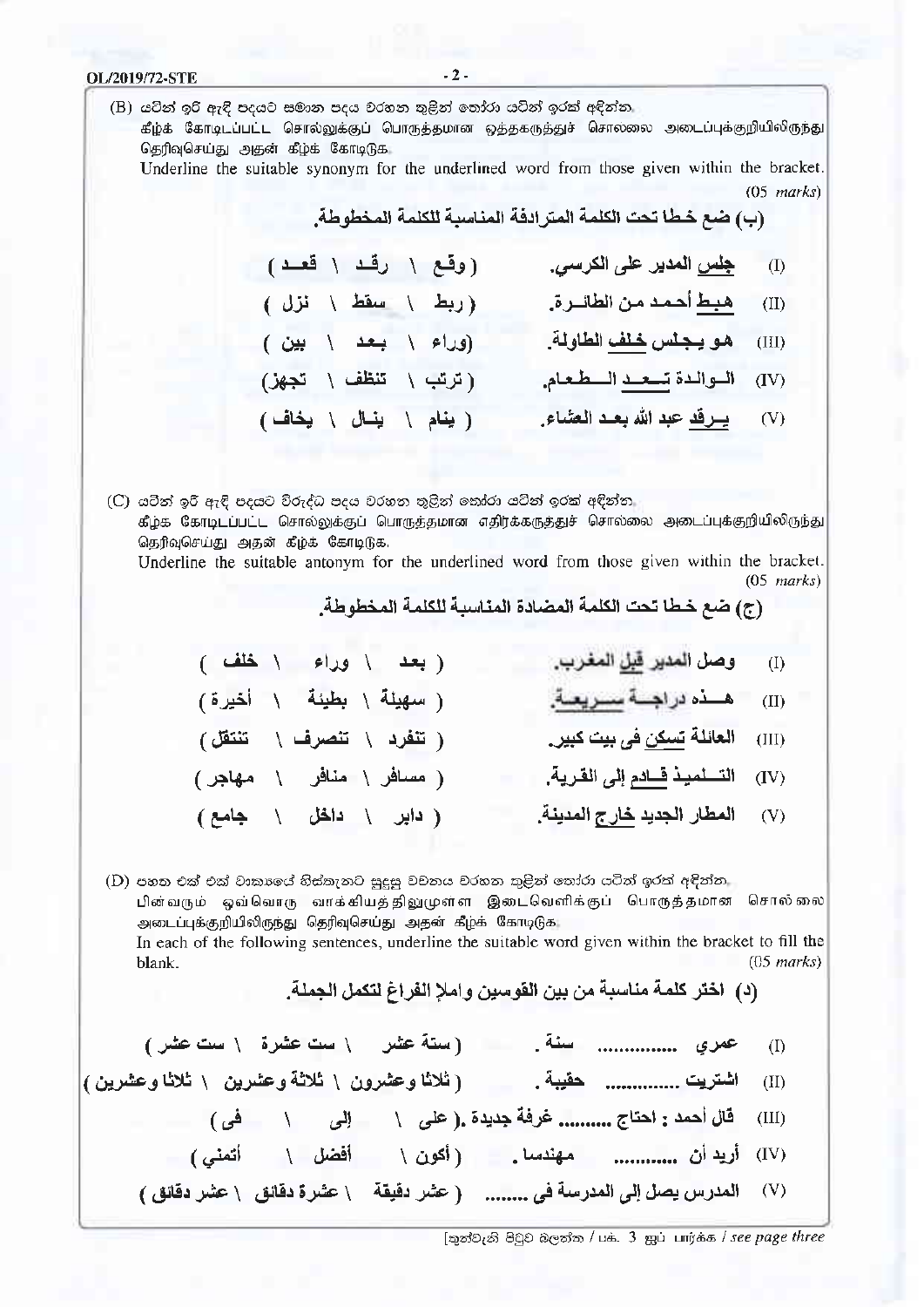OL/2019/72-STE  $-2-$ (B) යටින් ඉරි ඇඳි පදයට සමාන පදය වරහන තුළින් තෝරා යටින් ඉරක් අඳින්න கீழ்க் கோடிடப்பட்ட சொல்லுக்குப் பொருத்தமான ஒத்தகருத்துச் சொலலை அடைப்புக்குறியிலிருந்து தெரிவுசெய்து அதன் கீழ்க் கோடிடுக Underline the suitable synonym for the underlined word from those given within the bracket.  $(05$  marks) (ب) ضع خطا تحت الكلمة المتر ادفة المناسبة للكلمة المخطوطة. جِلس المدير على الكرسي. (وقع \ رقـد \ قعــد )  $\bigoplus$ هبط أحمد من الطائرة. (ربط ١ سقط ١ نزل )  $(II)$  $(III)$ اللوالدة تسعيد السطعام. (ترتب \ تنظف \ تجهز)  $(IV)$ ( ينام \ ينال \ يخاف) (V) يرقد عبد الله بعد العشاء. (C) යටින් ඉරි ඇඳි පදයට විරුද්ධ පදය වරහන තුළින් තෝරා යටින් ඉරක් අඳින්න கீழ்க் கோடிடப்பட்ட சொல்லுக்குப் பொருத்தமான எதிர்க்கருத்துச் சொல்லை அடைப்புக்குறியிலிருந்து தெரிவுசெய்து அதன் கீழ்க் கோடிடுக. Underline the suitable antonym for the underlined word from those given within the bracket.  $(05$  marks) (ج) ضع خطا تحت الكلمة المضادة المناسبة للكلمة المخطوطة. وصل المدير <u>قبل</u> المغرب. (بعد \ وراء \ خلف)  $(I)$ (سهيئة \ بطيئة \ أخيرة) (تنفرد \ تنصرف \ تنتقل) (III) العائلة تسكن في بيت كبير ـ ( مسافر \ منافر \ مهاجر) المطار الجديد خارج المدينة. (دابر \ داخل \ جامع)  $(V)$ (D) පහත එක් එක් වාකාලේ හිස්කැනට සුදුසු වචනය වරහන තුළින් තෝරා යටිත් ඉරක් අදින්න. பின்வரும் ஒவ்வொரு வாக்கியத்திலுமுள்ள இடைவெளிக்குப் பொருத்தமான சொல் லை அடைப்புக்குறியிலிருந்து தெரிவுசெய்து அதன் கீழ்க் கோடிடுக In each of the following sentences, underline the suitable word given within the bracket to fill the  $(05$  marks) blank.

(د) [اختر كلمة مناسبة من بين القوسين وإملا الفراغ لتكمل الجملة.

[තුන්වැනි පිටුව බලන්න / பக். 3 ஐப் பார்க்க / see page three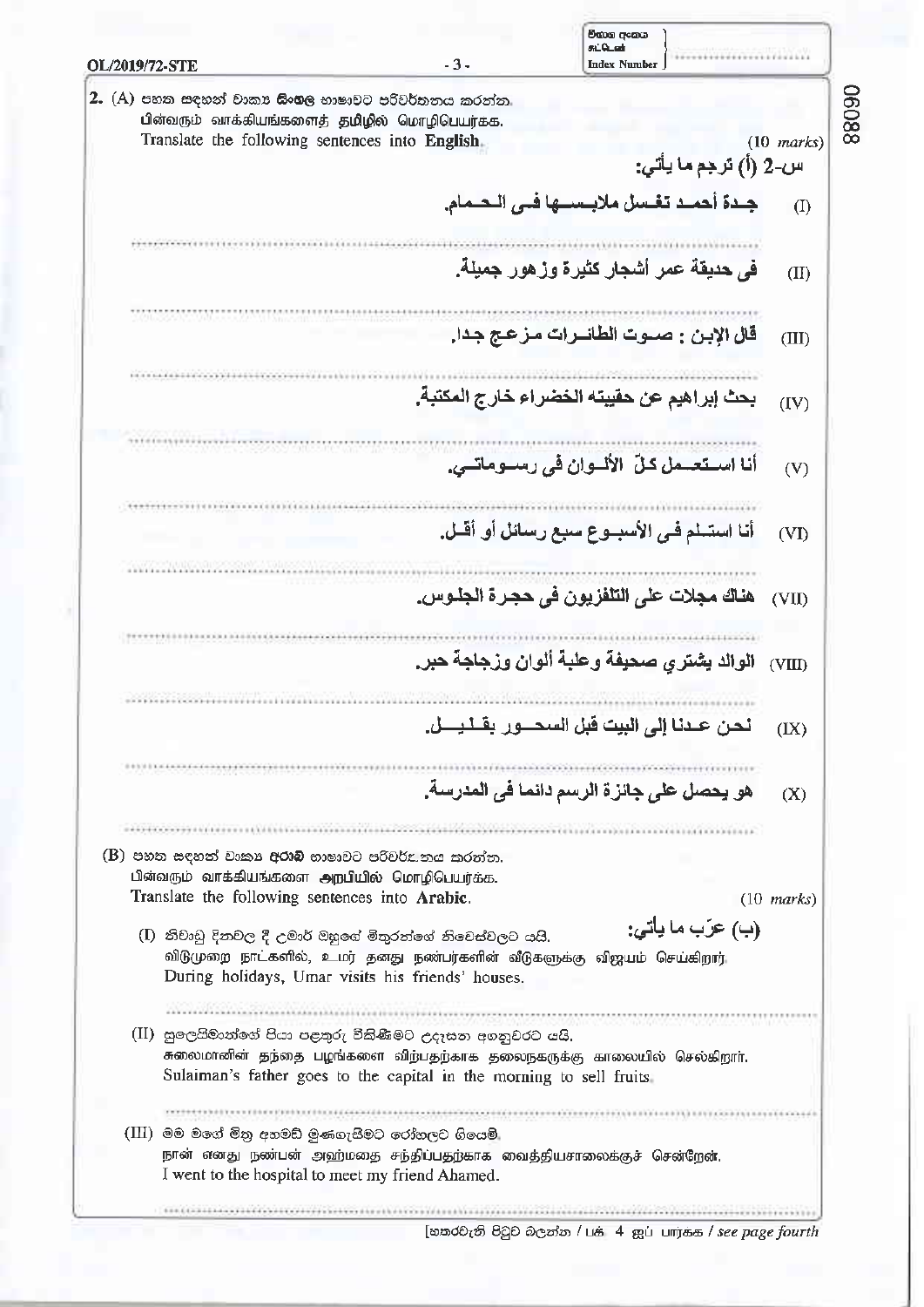| OL/2019/72-STE                                                                                                                                                                                            | $-3-$ | චිතාග අංකය<br>கட்டென்<br><b>Index Number</b>                 |                      |
|-----------------------------------------------------------------------------------------------------------------------------------------------------------------------------------------------------------|-------|--------------------------------------------------------------|----------------------|
| ${\bf 2.}\,\,\mathrm{(A)}$ පහත සඳහන් වාක ${\bf r}$ සිංහල භාෂාවට පරිවර්තනය කරන්න.                                                                                                                          |       |                                                              |                      |
| பின்வரும் வாக்கியங்களைத் தமிழில் மொழிபெயர்க்க.                                                                                                                                                            |       |                                                              |                      |
| Translate the following sentences into English.                                                                                                                                                           |       | س-2 (أ) ترجع ما يأتي:                                        | $(10 \text{ marks})$ |
|                                                                                                                                                                                                           |       | جــدة أحمــد تغـسل ملابــســـها فــى الـحــمام.              | $($ I                |
|                                                                                                                                                                                                           |       |                                                              |                      |
|                                                                                                                                                                                                           |       | ف <i>ي</i> حديقة عمر أشجار كثيرة وزهور جميلة.                | (II)                 |
| 2008-2007 Moore Africa Nine                                                                                                                                                                               |       | قال الإبن : صــوت الطائـــرات مــز عـج جـدا.                 | (III)                |
| **************************                                                                                                                                                                                |       | بحث إبراهيم عن حقيبته الخضراء خارج المكتبة.                  | (IV)                 |
|                                                                                                                                                                                                           |       |                                                              |                      |
|                                                                                                                                                                                                           |       | أنا استعسمل كلّ الألسوان في رسلوماتلي.                       | (V)                  |
|                                                                                                                                                                                                           |       |                                                              |                      |
|                                                                                                                                                                                                           |       | أنا استسلم فـي الأسبــوع سبع رسائل أو أقــل.                 | (VI)                 |
|                                                                                                                                                                                                           |       |                                                              |                      |
|                                                                                                                                                                                                           |       | هناك مجلات على التلفزيون في حجرة الجلوس.                     | (VII)                |
|                                                                                                                                                                                                           |       | الوالد يشتري صحيفة وعلبة ألوان وزجاجة حبر.                   | (VIII)               |
| Podday podobili i ministra                                                                                                                                                                                |       |                                                              |                      |
|                                                                                                                                                                                                           |       | نحن عـــدنــا إلــى البيت قبل السـحــــــور بقــــلـــــــل. | (IX)                 |
|                                                                                                                                                                                                           |       |                                                              |                      |
|                                                                                                                                                                                                           |       | هو يحصل على جائز ة الرسم دائما في المدرسة.                   | (X)                  |
| (B) පහත සඳහන් වාක¤ <b>අරාබි</b> භාෂාවට පරිිචර්£.නය කරන්න.                                                                                                                                                 |       |                                                              |                      |
| பின்வரும் வாக்கியங்களை அறபியில் மொழிபெயர்க்க.                                                                                                                                                             |       |                                                              |                      |
| Translate the following sentences into Arabic.                                                                                                                                                            |       |                                                              | $(10 \text{ marks})$ |
| (I) නිවාඩු දිනවල දී උමාර් ඔහුගේ මිතුරත්ගේ නිවෙස්වලට යයි.<br>விடுமுறை நாட்களில், உமர் தனது நண்பர்களின் வீடுகளுக்கு விஜயம் செய்கிறார்.<br>During holidays, Umar visits his friends' houses.                 |       | (ب) عرّب ما ياتي:                                            |                      |
|                                                                                                                                                                                                           |       |                                                              |                      |
| (II) සුලෙයිමාත්ගේ පියා පළතුරු විකිණීමට උදෑසත අගනුවරට යයි.<br>சுலைமானின் தந்தை பழங்களை விந்பதந்காக தலைநகருக்கு காலையில் செல்கிறாா்.<br>Sulaiman's father goes to the capital in the morning to sell fruits |       |                                                              |                      |
|                                                                                                                                                                                                           |       |                                                              |                      |
| $\rm (III)$ මම මගේ මිතු අහමඩ් මුණගැසීමට රෝහලට ගියෙමි.<br>நான் எனது நண்பன் அஹ்மதை சந்திப்பதற்காக வைத்தியசாலைக்குச் சென்றேன்.<br>I went to the hospital to meet my friend Ahamed.                           |       |                                                              |                      |
|                                                                                                                                                                                                           |       |                                                              |                      |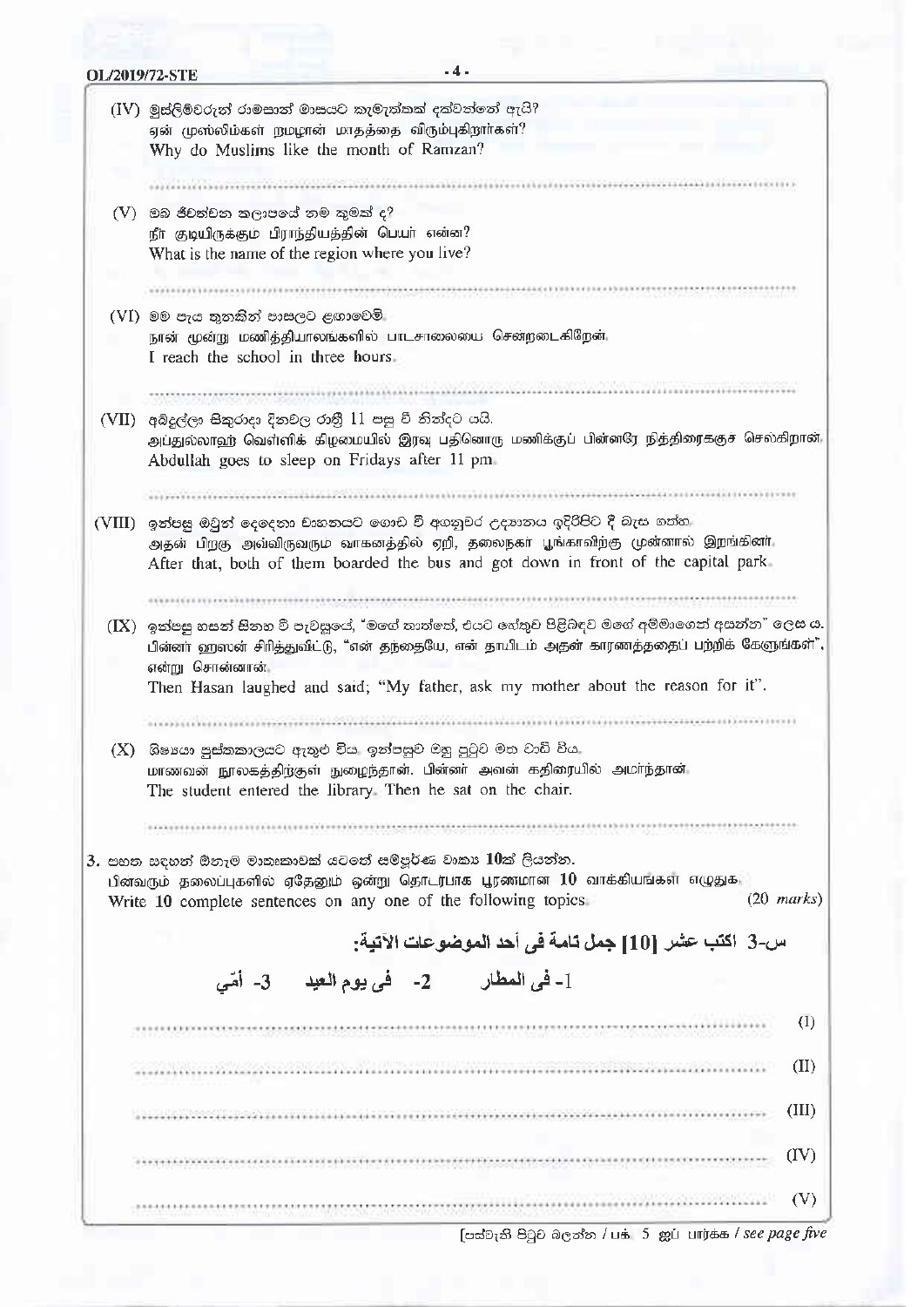| (IV) මුස්ලිම්වරුන් රාමසාන් මාසයට කැමැත්තක් දක්වන්නේ ඇයි?                                                                                   |  |  |  |  |
|--------------------------------------------------------------------------------------------------------------------------------------------|--|--|--|--|
| ஏன் முஸ்லிம்கள் நமழான் மாதத்தை விரும்புகிறாா்கள்?                                                                                          |  |  |  |  |
| Why do Muslims like the month of Ramzan?                                                                                                   |  |  |  |  |
|                                                                                                                                            |  |  |  |  |
| $(V)$ -මබ ජීවත්වන තලාපයේ නම කුමක් ද $?$                                                                                                    |  |  |  |  |
| நீா குடியிருக்கும் பிராந்தியத்தின் பெயா் என்ன?                                                                                             |  |  |  |  |
| What is the name of the region where you live?                                                                                             |  |  |  |  |
|                                                                                                                                            |  |  |  |  |
|                                                                                                                                            |  |  |  |  |
| (VI) මම පැය තුනකින් පාසලට ළඟාවෙමි                                                                                                          |  |  |  |  |
| நான் மூன்று மணித்தியாலங்களில் பாடசாலையை சென்றடைகிறேன்.<br>I reach the school in three hours.                                               |  |  |  |  |
|                                                                                                                                            |  |  |  |  |
| AY 4, 2001, 2001, 2012, 2014, 2014, 2014, 2014, 2014, 2014, 2014, 2014, 2014, 2014, 2014, 2014, 2014                                       |  |  |  |  |
| (VII) - අබ්දුල්ලා සිකුරාදා දිනවල රානී 11 පසු වී නිත්දට යයි.                                                                                |  |  |  |  |
| அப்துல்லாஹ் வெள்ளிக் கிழமையில் இரவு பதினொரு மணிக்குப் பின்னரே நித்திரைக்குச் செல்கிறான்.                                                   |  |  |  |  |
| Abdullah goes to sleep on Fridays after 11 pm                                                                                              |  |  |  |  |
|                                                                                                                                            |  |  |  |  |
| (VIII)  ඉන්පසු ඔවුන් දෙදෙනා චාහනයට ගොඩ වී අගනුවර උදහනය ඉදිරිපිට දී බැස ගත්ත                                                                |  |  |  |  |
| அதன் பிறகு அவ்விருவரும் வாகனத்தில் ஏறி, தலைநகா பூங்காவிற்கு முன்னால் இறங்கினா,                                                             |  |  |  |  |
| After that, both of them boarded the bus and got down in front of the capital park                                                         |  |  |  |  |
|                                                                                                                                            |  |  |  |  |
|                                                                                                                                            |  |  |  |  |
|                                                                                                                                            |  |  |  |  |
| (IX) ඉන්පසු හසන් සිතහ වී පැවසූයේ, "මගේ තාත්තේ, එයට හේතුව පිළිබඳව මගේ අම්මාගෙන් අසන්න" ලෙස ය.                                               |  |  |  |  |
|                                                                                                                                            |  |  |  |  |
| பின்னா் ஹஸன் சிரித்துவிட்டு, "என் தந்தையே, என் தாயிடம் அதன் காரணத்ததைப் பற்றிக் கேளுங்கள்",<br>என்று சொன்னான்.                             |  |  |  |  |
| Then Hasan laughed and said; "My father, ask my mother about the reason for it".                                                           |  |  |  |  |
|                                                                                                                                            |  |  |  |  |
| $\left( \text{X} \right)$ - ශිෂායා පුස්තකාලයට ඇතුළු විය. ඉන්පසුව ඔහු පුටුව මත වාඩි විය.                                                    |  |  |  |  |
| மாணவன் நூலகத்திற்குள் நுழைந்தான். பின்னர் அவன் கதிரையில் அமர்ந்தான்                                                                        |  |  |  |  |
| The student entered the library. Then he sat on the chair.                                                                                 |  |  |  |  |
|                                                                                                                                            |  |  |  |  |
|                                                                                                                                            |  |  |  |  |
| $\,3.$ පහත සඳහන් ඕනෑම මාතෘකාවක් යටතේ සම්පූර්ණ වාකා $10$ ක් ලියන්න.                                                                         |  |  |  |  |
| பின்வரும் தலைப்புகளில் ஏதேனும் ஒன்று தொடர்பாக பூரணமான $10$ வாக்கியங்கள் எழுதுக                                                             |  |  |  |  |
| $(20 \text{ marks})$<br>Write 10 complete sentences on any one of the following topics.                                                    |  |  |  |  |
| س-3  اكتب عشر  [10] جمل تامة في أحد الموضوعات الآتية:                                                                                      |  |  |  |  |
|                                                                                                                                            |  |  |  |  |
| 1- في المطار         2-     في يوم العيد      3-   أمّى                                                                                    |  |  |  |  |
|                                                                                                                                            |  |  |  |  |
|                                                                                                                                            |  |  |  |  |
| (I)<br>(II)<br>en haar het beste van de staat van de staat van de staat van de staat van de staat van de staat van de staat v<br>Geboortes |  |  |  |  |
| (III)                                                                                                                                      |  |  |  |  |
|                                                                                                                                            |  |  |  |  |
| (IV)                                                                                                                                       |  |  |  |  |

[ என் ஜெடு விருவின் / பக் 5 ஐப் பார்க்க / see page five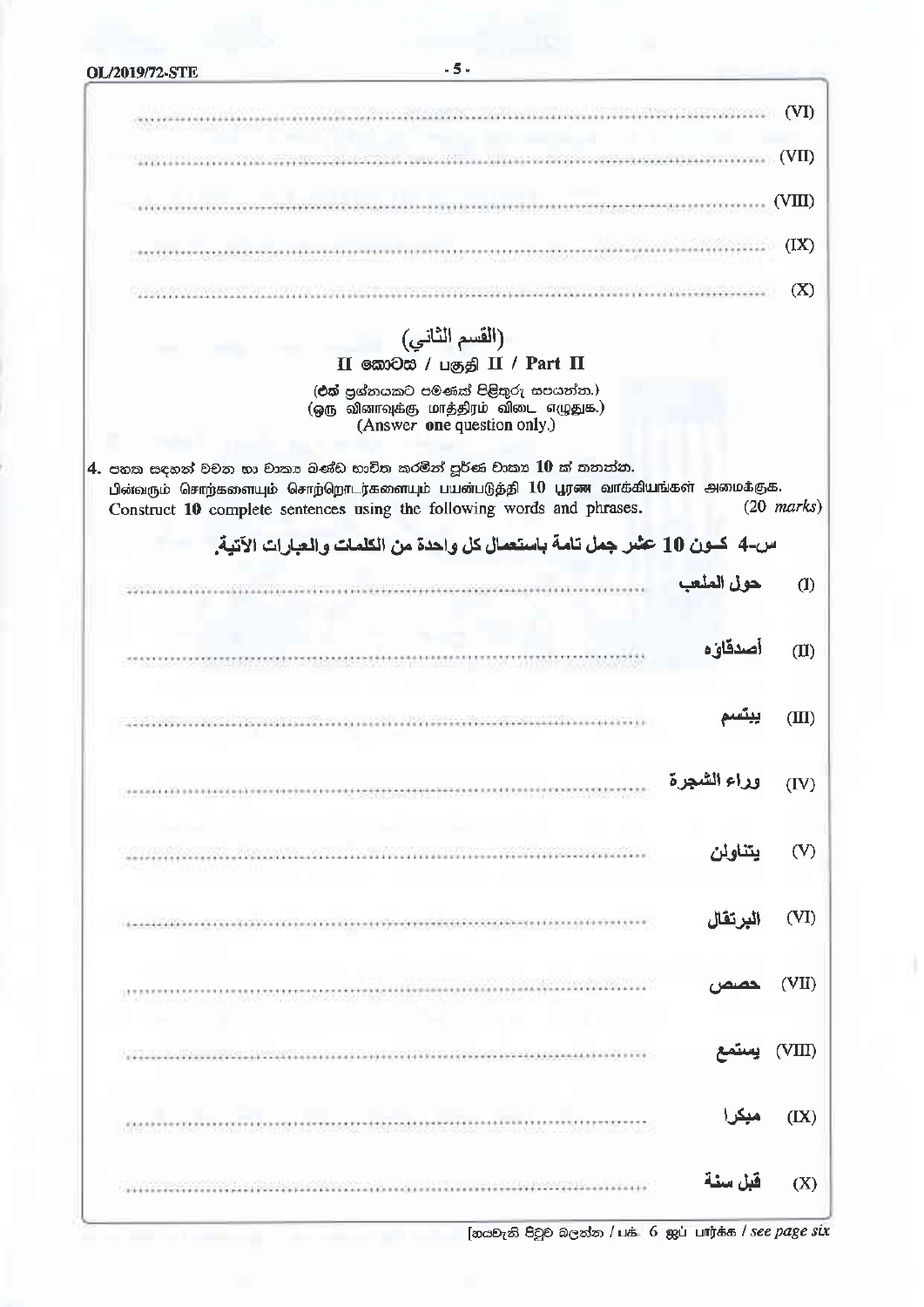| OL/2019/72-STE       | - 5 -                                                                                                                                                                                                                                                                                                                                                                                                                                                                                                                                                     |              |
|----------------------|-----------------------------------------------------------------------------------------------------------------------------------------------------------------------------------------------------------------------------------------------------------------------------------------------------------------------------------------------------------------------------------------------------------------------------------------------------------------------------------------------------------------------------------------------------------|--------------|
|                      | 10 Mac 2010 May 2010 Mac 2010                                                                                                                                                                                                                                                                                                                                                                                                                                                                                                                             | (VI)         |
| I HANDI (BANDA BERKE |                                                                                                                                                                                                                                                                                                                                                                                                                                                                                                                                                           |              |
|                      |                                                                                                                                                                                                                                                                                                                                                                                                                                                                                                                                                           | (VII)        |
|                      |                                                                                                                                                                                                                                                                                                                                                                                                                                                                                                                                                           | (VIII)       |
|                      |                                                                                                                                                                                                                                                                                                                                                                                                                                                                                                                                                           | (IX)         |
|                      |                                                                                                                                                                                                                                                                                                                                                                                                                                                                                                                                                           | (X)          |
|                      | (القسم الثاني)                                                                                                                                                                                                                                                                                                                                                                                                                                                                                                                                            |              |
|                      | II வேலில் / பகுதி II / Part II                                                                                                                                                                                                                                                                                                                                                                                                                                                                                                                            |              |
|                      | (එක් පුග්නයකට පමණක් පිළිතුරු සපයන්න.)<br>(ஒரு வினாவுக்கு மாத்திரம் விடை எழுதுக.)<br>(Answer one question only.)                                                                                                                                                                                                                                                                                                                                                                                                                                           |              |
|                      | 4. පහක සඳහන් වචන හා වාකා බණ්ඩ භාවිත කරමින් පූර්ණ වාකා 10 ක් තනන්න.<br>பின்வரும் சொற்களையும் சொற்றொடர்களையும் பயன்படுத்தி 10 பூரண வாக்கியங்கள் அமைக்குக.<br>Construct 10 complete sentences using the following words and phrases.                                                                                                                                                                                                                                                                                                                         | $(20$ marks) |
|                      | س-4 كــون 10 عثـر جمل تامـة باستعمـال كل واحدة من الكلمات والـعبارات الآتيـة.                                                                                                                                                                                                                                                                                                                                                                                                                                                                             |              |
|                      | حول الملعب                                                                                                                                                                                                                                                                                                                                                                                                                                                                                                                                                | (1)          |
|                      |                                                                                                                                                                                                                                                                                                                                                                                                                                                                                                                                                           |              |
|                      | أصدقاؤه                                                                                                                                                                                                                                                                                                                                                                                                                                                                                                                                                   | (II)         |
|                      | station by the station of the control of the control of the control of the control of the control of the control of the control of the control of the control of the control of the control of the control of the control of                                                                                                                                                                                                                                                                                                                              | (IIII)       |
|                      | وراء الشجرة<br>$\begin{minipage}{0.9\linewidth} \begin{minipage}{0.9\linewidth} \begin{minipage}{0.9\linewidth} \end{minipage} \begin{minipage}{0.9\linewidth} \end{minipage} \begin{minipage}{0.9\linewidth} \begin{minipage}{0.9\linewidth} \end{minipage} \begin{minipage}{0.9\linewidth} \end{minipage} \begin{minipage}{0.9\linewidth} \end{minipage} \begin{minipage}{0.9\linewidth} \end{minipage} \begin{minipage}{0.9\linewidth} \end{minipage} \begin{minipage}{0.9\linewidth} \end{minipage} \begin{minipage}{0.9\linewidth} \end{minipage} \$ | (IV)         |
|                      |                                                                                                                                                                                                                                                                                                                                                                                                                                                                                                                                                           |              |
|                      | يتناولن                                                                                                                                                                                                                                                                                                                                                                                                                                                                                                                                                   | (V)          |
|                      | البرتقال                                                                                                                                                                                                                                                                                                                                                                                                                                                                                                                                                  | (VI)         |
|                      | Martin Mondon (1977) Norman Andrew                                                                                                                                                                                                                                                                                                                                                                                                                                                                                                                        | (VII)        |
|                      | and the contract of the contract of the                                                                                                                                                                                                                                                                                                                                                                                                                                                                                                                   | (VIII)       |
|                      |                                                                                                                                                                                                                                                                                                                                                                                                                                                                                                                                                           | (IX)         |
|                      | قبل سنة                                                                                                                                                                                                                                                                                                                                                                                                                                                                                                                                                   | (X)          |

[නයවැනි පිටුව බලන්න / பக் 6 ஐப் பார்க்க / see page six